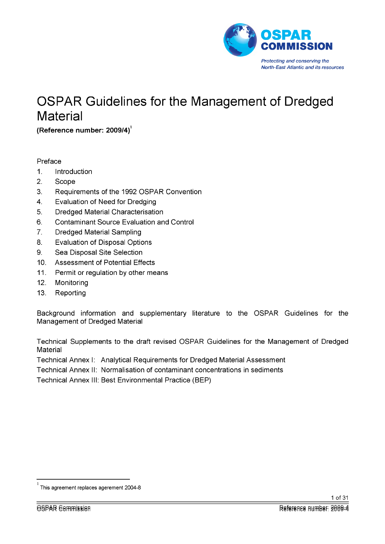

# OSPAR Guidelines for the Management of Dredged **Material**

**(Reference number: 2009/4)** 

## Preface

- 1. Introduction
- 2. Scope
- 3. Requirements of the 1992 OSPAR Convention
- 4. Evaluation of Need for Dredging
- 5. Dredged Material Characterisation
- 6. Contaminant Source Evaluation and Control
- 7. Dredged Material Sampling
- 8. Evaluation of Disposal Options
- 9. Sea Disposal Site Selection
- 10. Assessment of Potential Effects
- 11. Permit or regulation by other means
- 12. Monitoring
- 13. Reporting

Background information and supplementary literature to the OSPAR Guidelines for the Management of Dredged Material

Technical Supplements to the draft revised OSPAR Guidelines for the Management of Dredged **Material** 

Technical Annex I: Analytical Requirements for Dredged Material Assessment

Technical Annex II: Normalisation of contaminant concentrations in sediments

Technical Annex III: Best Environmental Practice (BEP)

This agreement replaces agerement 2004-8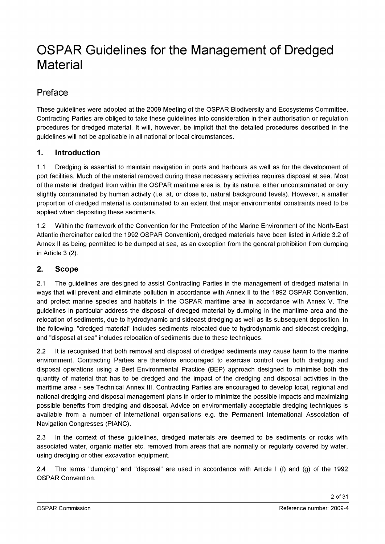# OSPAR Guidelines for the Management of Dredged **Material**

## Preface

These guidelines were adopted at the 2009 Meeting of the OSPAR Biodiversity and Ecosystems Committee. Contracting Parties are obliged to take these guidelines into consideration in their authorisation or regulation procedures for dredged material. It will, however, be implicit that the detailed procedures described in the guidelines will not be applicable in all national or local circumstances.

## **1. Introduction**

1.1 Dredging is essential to maintain navigation in ports and harbours as well as for the development of port facilities. Much of the material removed during these necessary activities requires disposal at sea. Most of the material dredged from within the OSPAR maritime area is, by its nature, either uncontaminated or only slightly contaminated by human activity (i.e. at, or close to, natural background levels). However, a smaller proportion of dredged material is contaminated to an extent that major environmental constraints need to be applied when depositing these sediments.

1.2 Within the framework of the Convention for the Protection of the Marine Environment of the North-East Atlantic (hereinafter called the 1992 OSPAR Convention), dredged materials have been listed in Article 3.2 of Annex II as being permitted to be dumped at sea, as an exception from the general prohibition from dumping in Article 3 (2).

## **2. Scope**

2.1 The guidelines are designed to assist Contracting Parties in the management of dredged material in ways that will prevent and eliminate pollution in accordance with Annex II to the 1992 OSPAR Convention, and protect marine species and habitats in the OSPAR maritime area in accordance with Annex V. The guidelines in particular address the disposal of dredged material by dumping in the maritime area and the relocation of sediments, due to hydrodynamic and sidecast dredging as well as its subsequent deposition. In the following, "dredged material" includes sediments relocated due to hydrodynamic and sidecast dredging, and "disposal at sea" includes relocation of sediments due to these techniques.

2.2 It is recognised that both removal and disposal of dredged sediments may cause harm to the marine environment. Contracting Parties are therefore encouraged to exercise control over both dredging and disposal operations using a Best Environmental Practice (BEP) approach designed to minimise both the quantity of material that has to be dredged and the impact of the dredging and disposal activities in the maritime area - see Technical Annex III. Contracting Parties are encouraged to develop local, regional and national dredging and disposal management plans in order to minimize the possible impacts and maximizing possible benefits from dredging and disposal. Advice on environmentally acceptable dredging techniques is available from a number of international organisations e.g. the Permanent International Association of Navigation Congresses (PIANC).

2.3 In the context of these guidelines, dredged materials are deemed to be sediments or rocks with associated water, organic matter etc. removed from areas that are normally or regularly covered by water, using dredging or other excavation equipment.

2.4 The terms "dumping" and "disposal" are used in accordance with Article I (f) and (g) of the 1992 OSPAR Convention.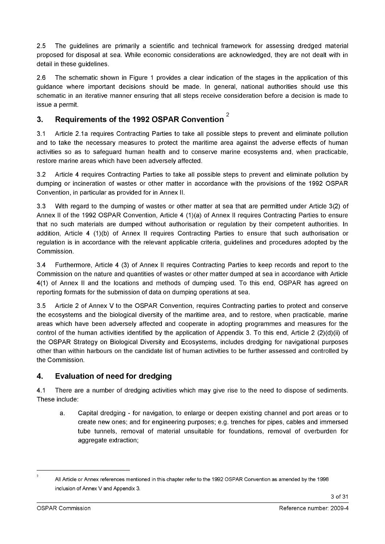2.5 The guidelines are primarily a scientific and technical framework for assessing dredged material proposed for disposal at sea. While economic considerations are acknowledged, they are not dealt with in detail in these guidelines.

2.6 The schematic shown in Figure 1 provides a clear indication of the stages in the application of this guidance where important decisions should be made. In general, national authorities should use this schematic in an iterative manner ensuring that all steps receive consideration before a decision is made to issue a permit.

# 2 **3. Requirements of the 1992 OSPAR Convention**

3.1 Article 2.1a requires Contracting Parties to take all possible steps to prevent and eliminate pollution and to take the necessary measures to protect the maritime area against the adverse effects of human activities so as to safeguard human health and to conserve marine ecosystems and, when practicable, restore marine areas which have been adversely affected.

3.2 Article 4 requires Contracting Parties to take all possible steps to prevent and eliminate pollution by dumping or incineration of wastes or other matter in accordance with the provisions of the 1992 OSPAR Convention, in particular as provided for in Annex II.

3.3 With regard to the dumping of wastes or other matter at sea that are permitted under Article 3(2) of Annex II of the 1992 OSPAR Convention, Article 4 (1)(a) of Annex II requires Contracting Parties to ensure that no such materials are dumped without authorisation or regulation by their competent authorities. In addition, Article 4 (1)(b) of Annex II requires Contracting Parties to ensure that such authorisation or regulation is in accordance with the relevant applicable criteria, guidelines and procedures adopted by the Commission.

3.4 Furthermore, Article 4 (3) of Annex II requires Contracting Parties to keep records and report to the Commission on the nature and quantities of wastes or other matter dumped at sea in accordance with Article 4(1) of Annex II and the locations and methods of dumping used. To this end, OSPAR has agreed on reporting formats for the submission of data on dumping operations at sea.

3.5 Article 2 of Annex V to the OSPAR Convention, requires Contracting parties to protect and conserve the ecosystems and the biological diversity of the maritime area, and to restore, when practicable, marine areas which have been adversely affected and cooperate in adopting programmes and measures for the control of the human activities identified by the application of Appendix 3. To this end, Article 2 (2)(d)(ii) of the OSPAR Strategy on Biological Diversity and Ecosystems, includes dredging for navigational purposes other than within harbours on the candidate list of human activities to be further assessed and controlled by the Commission.

## **4. Evaluation of need for dredging**

4.1 There are a number of dredging activities which may give rise to the need to dispose of sediments. These include:

a. Capital dredging - for navigation, to enlarge or deepen existing channel and port areas or to create new ones; and for engineering purposes; e.g. trenches for pipes, cables and immersed tube tunnels, removal of material unsuitable for foundations, removal of overburden for aggregate extraction;

<sup>2</sup>

All Article or Annex references mentioned in this chapter refer to the 1992 OSPAR Convention as amended by the 1998 inclusion of Annex V and Appendix 3.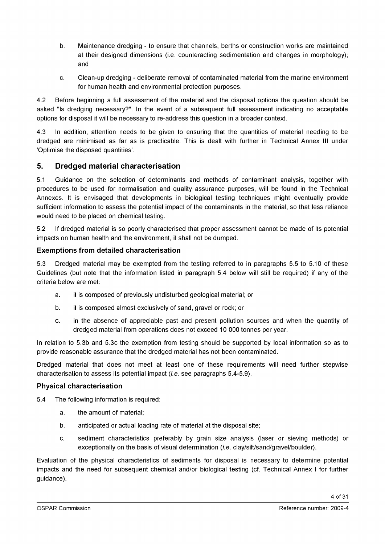- b. Maintenance dredging to ensure that channels, berths or construction works are maintained at their designed dimensions (i.e. counteracting sedimentation and changes in morphology); and
- c. Clean-up dredging deliberate removal of contaminated material from the marine environment for human health and environmental protection purposes.

4.2 Before beginning a full assessment of the material and the disposal options the question should be asked "Is dredging necessary?". In the event of a subsequent full assessment indicating no acceptable options for disposal it will be necessary to re-address this question in a broader context.

4.3 In addition, attention needs to be given to ensuring that the quantities of material needing to be dredged are minimised as far as is practicable. This is dealt with further in Technical Annex III under 'Optimise the disposed quantities'.

## **5. Dredged material characterisation**

5.1 Guidance on the selection of determinants and methods of contaminant analysis, together with procedures to be used for normalisation and quality assurance purposes, will be found in the Technical Annexes. It is envisaged that developments in biological testing techniques might eventually provide sufficient information to assess the potential impact of the contaminants in the material, so that less reliance would need to be placed on chemical testing.

5.2 If dredged material is so poorly characterised that proper assessment cannot be made of its potential impacts on human health and the environment, it shall not be dumped.

#### **Exemptions from detailed characterisation**

5.3 Dredged material may be exempted from the testing referred to in paragraphs 5.5 to 5.10 of these Guidelines (but note that the information listed in paragraph 5.4 below will still be required) if any of the criteria below are met:

- a. it is composed of previously undisturbed geological material; or
- b. it is composed almost exclusively of sand, gravel or rock; or
- c. in the absence of appreciable past and present pollution sources and when the quantity of dredged material from operations does not exceed 10 000 tonnes per year.

In relation to 5.3b and 5.3c the exemption from testing should be supported by local information so as to provide reasonable assurance that the dredged material has not been contaminated.

Dredged material that does not meet at least one of these requirements will need further stepwise characterisation to assess its potential impact *(i.e.* see paragraphs 5.4-5.9).

#### **Physical characterisation**

5.4 The following information is required:

- a. the amount of material;
- b. anticipated or actual loading rate of material at the disposal site;
- c. sediment characteristics preferably by grain size analysis (laser or sieving methods) or exceptionally on the basis of visual determination *(i.e.* clay/silt/sand/gravel/boulder).

Evaluation of the physical characteristics of sediments for disposal is necessary to determine potential impacts and the need for subsequent chemical and/or biological testing (cf. Technical Annex I for further guidance).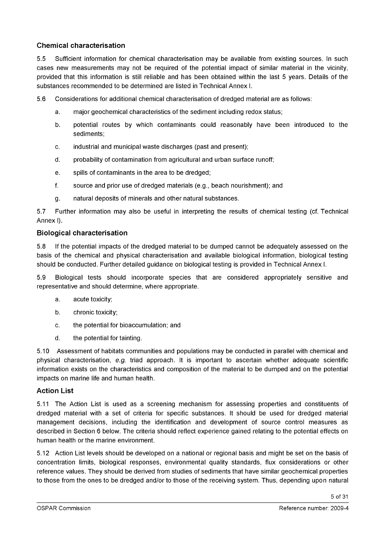#### **Chemical characterisation**

5.5 Sufficient information for chemical characterisation may be available from existing sources. In such cases new measurements may not be required of the potential impact of similar material in the vicinity, provided that this information is still reliable and has been obtained within the last 5 years. Details of the substances recommended to be determined are listed in Technical Annex I.

5.6 Considerations for additional chemical characterisation of dredged material are as follows:

- a. major geochemical characteristics of the sediment including redox status;
- b. potential routes by which contaminants could reasonably have been introduced to the sediments;
- c. industrial and municipal waste discharges (past and present);
- d. probability of contamination from agricultural and urban surface runoff;
- e. spills of contaminants in the area to be dredged;
- f. source and prior use of dredged materials (e.g., beach nourishment); and
- g. natural deposits of minerals and other natural substances.

5.7 Further information may also be useful in interpreting the results of chemical testing (cf. Technical Annex I).

#### **Biological characterisation**

5.8 If the potential impacts of the dredged material to be dumped cannot be adequately assessed on the basis of the chemical and physical characterisation and available biological information, biological testing should be conducted. Further detailed guidance on biological testing is provided in Technical Annex I.

5.9 Biological tests should incorporate species that are considered appropriately sensitive and representative and should determine, where appropriate.

- a. acute toxicity;
- b. chronic toxicity;
- c. the potential for bioaccumulation; and
- d. the potential for tainting.

5.10 Assessment of habitats communities and populations may be conducted in parallel with chemical and physical characterisation, *e.g.* triad approach. It is important to ascertain whether adequate scientific information exists on the characteristics and composition of the material to be dumped and on the potential impacts on marine life and human health.

#### **Action List**

5.11 The Action List is used as a screening mechanism for assessing properties and constituents of dredged material with a set of criteria for specific substances. It should be used for dredged material management decisions, including the identification and development of source control measures as described in Section 6 below. The criteria should reflect experience gained relating to the potential effects on human health or the marine environment.

5.12 Action List levels should be developed on a national or regional basis and might be set on the basis of concentration limits, biological responses, environmental quality standards, flux considerations or other reference values. They should be derived from studies of sediments that have similar geochemical properties to those from the ones to be dredged and/or to those of the receiving system. Thus, depending upon natural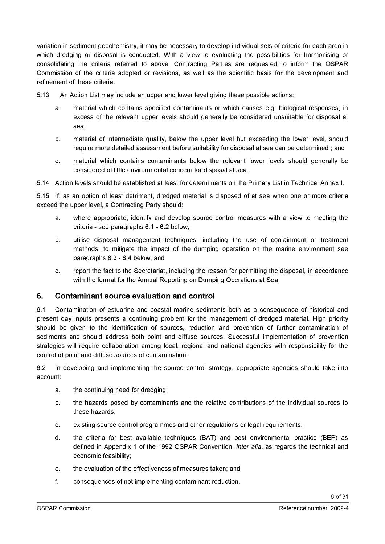variation in sediment geochemistry, it may be necessary to develop individual sets of criteria for each area in which dredging or disposal is conducted. With a view to evaluating the possibilities for harmonising or consolidating the criteria referred to above, Contracting Parties are requested to inform the OSPAR Commission of the criteria adopted or revisions, as well as the scientific basis for the development and refinement of these criteria.

- 5.13 An Action List may include an upper and lower level giving these possible actions:
	- a. material which contains specified contaminants or which causes e.g. biological responses, in excess of the relevant upper levels should generally be considered unsuitable for disposal at sea;
	- b. material of intermediate quality, below the upper level but exceeding the lower level, should require more detailed assessment before suitability for disposal at sea can be determined ; and
	- c. material which contains contaminants below the relevant lower levels should generally be considered of little environmental concern for disposal at sea.
- 5.14 Action levels should be established at least for determinants on the Primary List in Technical Annex I.

5.15 If, as an option of least detriment, dredged material is disposed of at sea when one or more criteria exceed the upper level, a Contracting Party should:

- a. where appropriate, identify and develop source control measures with a view to meeting the criteria - see paragraphs 6.1 - 6.2 below;
- b. utilise disposal management techniques, including the use of containment or treatment methods, to mitigate the impact of the dumping operation on the marine environment see paragraphs 8.3 - 8.4 below; and
- c. report the fact to the Secretariat, including the reason for permitting the disposal, in accordance with the format for the Annual Reporting on Dumping Operations at Sea.

#### **6. Contaminant source evaluation and control**

6.1 Contamination of estuarine and coastal marine sediments both as a consequence of historical and present day inputs presents a continuing problem for the management of dredged material. High priority should be given to the identification of sources, reduction and prevention of further contamination of sediments and should address both point and diffuse sources. Successful implementation of prevention strategies will require collaboration among local, regional and national agencies with responsibility for the control of point and diffuse sources of contamination.

6.2 In developing and implementing the source control strategy, appropriate agencies should take into account:

- a. the continuing need for dredging;
- b. the hazards posed by contaminants and the relative contributions of the individual sources to these hazards;
- c. existing source control programmes and other regulations or legal requirements;
- d. the criteria for best available techniques (BAT) and best environmental practice (BEP) as defined in Appendix 1 of the 1992 OSPAR Convention, *inter alia*, as regards the technical and economic feasibility;
- e. the evaluation of the effectiveness of measures taken; and
- f. consequences of not implementing contaminant reduction.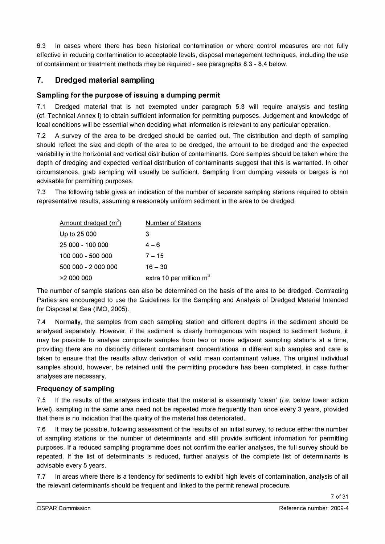6.3 In cases where there has been historical contamination or where control measures are not fully effective in reducing contamination to acceptable levels, disposal management techniques, including the use of containment or treatment methods may be required - see paragraphs 8.3 - 8.4 below.

## **7. Dredged material sampling**

## **Sampling for the purpose of issuing a dumping permit**

7.1 Dredged material that is not exempted under paragraph 5.3 will require analysis and testing (cf. Technical Annex I) to obtain sufficient information for permitting purposes. Judgement and knowledge of local conditions will be essential when deciding what information is relevant to any particular operation.

7.2 A survey of the area to be dredged should be carried out. The distribution and depth of sampling should reflect the size and depth of the area to be dredged, the amount to be dredged and the expected variability in the horizontal and vertical distribution of contaminants. Core samples should be taken where the depth of dredging and expected vertical distribution of contaminants suggest that this is warranted. In other circumstances, grab sampling will usually be sufficient. Sampling from dumping vessels or barges is not advisable for permitting purposes.

7.3 The following table gives an indication of the number of separate sampling stations required to obtain representative results, assuming a reasonably uniform sediment in the area to be dredged:

| Amount dredged $(m^3)$ | <b>Number of Stations</b> |
|------------------------|---------------------------|
| Up to 25 000           | 3                         |
| 25 000 - 100 000       | $4 - 6$                   |
| 100 000 - 500 000      | $7 - 15$                  |
| 500 000 - 2 000 000    | $16 - 30$                 |
| >2 000 000             | extra 10 per million $m3$ |

The number of sample stations can also be determined on the basis of the area to be dredged. Contracting Parties are encouraged to use the Guidelines for the Sampling and Analysis of Dredged Material Intended for Disposal at Sea (IMO, 2005).

7.4 Normally, the samples from each sampling station and different depths in the sediment should be analysed separately. However, if the sediment is clearly homogenous with respect to sediment texture, it may be possible to analyse composite samples from two or more adjacent sampling stations at a time, providing there are no distinctly different contaminant concentrations in different sub samples and care is taken to ensure that the results allow derivation of valid mean contaminant values. The original individual samples should, however, be retained until the permitting procedure has been completed, in case further analyses are necessary.

#### **Frequency of sampling**

7.5 If the results of the analyses indicate that the material is essentially 'clean' *(i.e.* below lower action level), sampling in the same area need not be repeated more frequently than once every 3 years, provided that there is no indication that the quality of the material has deteriorated.

7.6 It may be possible, following assessment of the results of an initial survey, to reduce either the number of sampling stations or the number of determinants and still provide sufficient information for permitting purposes. If a reduced sampling programme does not confirm the earlier analyses, the full survey should be repeated. If the list of determinants is reduced, further analysis of the complete list of determinants is advisable every 5 years.

7.7 In areas where there is a tendency for sediments to exhibit high levels of contamination, analysis of all the relevant determinants should be frequent and linked to the permit renewal procedure.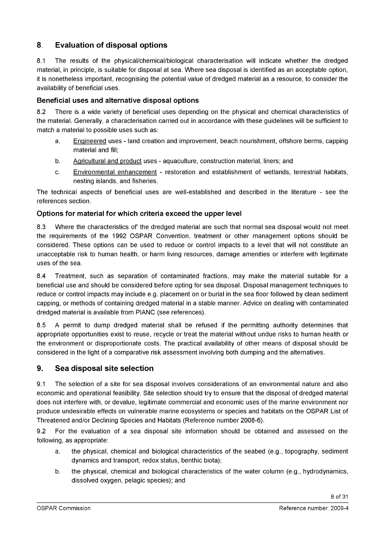## **8 Evaluation of disposal options**

8.1 The results of the physical/chemical/biological characterisation will indicate whether the dredged material, in principle, is suitable for disposal at sea. Where sea disposal is identified as an acceptable option, it is nonetheless important, recognising the potential value of dredged material as a resource, to consider the availability of beneficial uses.

## **Beneficial uses and alternative disposal options**

8.2 There is a wide variety of beneficial uses depending on the physical and chemical characteristics of the material. Generally, a characterisation carried out in accordance with these guidelines will be sufficient to match a material to possible uses such as:

- a. Engineered uses land creation and improvement, beach nourishment, offshore berms, capping material and fill;
- b. Agricultural and product uses aquaculture, construction material, liners; and
- c. Environmental enhancement restoration and establishment of wetlands, terrestrial habitats, nesting islands, and fisheries.

The technical aspects of beneficial uses are well-established and described in the literature - see the references section.

## **Options for material for which criteria exceed the upper level**

8.3 Where the characteristics of the dredged material are such that normal sea disposal would not meet the requirements of the 1992 OSPAR Convention, treatment or other management options should be considered. These options can be used to reduce or control impacts to a level that will not constitute an unacceptable risk to human health, or harm living resources, damage amenities or interfere with legitimate uses of the sea.

8.4 Treatment, such as separation of contaminated fractions, may make the material suitable for a beneficial use and should be considered before opting for sea disposal. Disposal management techniques to reduce or control impacts may include e.g. placement on or burial in the sea floor followed by clean sediment capping, or methods of containing dredged material in a stable manner. Advice on dealing with contaminated dredged material is available from PIANC (see references).

8.5 A permit to dump dredged material shall be refused if the permitting authority determines that appropriate opportunities exist to reuse, recycle or treat the material without undue risks to human health or the environment or disproportionate costs. The practical availability of other means of disposal should be considered in the light of a comparative risk assessment involving both dumping and the alternatives.

## **9. Sea disposal site selection**

9.1 The selection of a site for sea disposal involves considerations of an environmental nature and also economic and operational feasibility. Site selection should try to ensure that the disposal of dredged material does not interfere with, or devalue, legitimate commercial and economic uses of the marine environment nor produce undesirable effects on vulnerable marine ecosystems or species and habitats on the OSPAR List of Threatened and/or Declining Species and Habitats (Reference number 2008-6).

9.2 For the evaluation of a sea disposal site information should be obtained and assessed on the following, as appropriate:

- a. the physical, chemical and biological characteristics of the seabed (e.g., topography, sediment dynamics and transport, redox status, benthic biota);
- b. the physical, chemical and biological characteristics of the water column (e.g., hydrodynamics, dissolved oxygen, pelagic species); and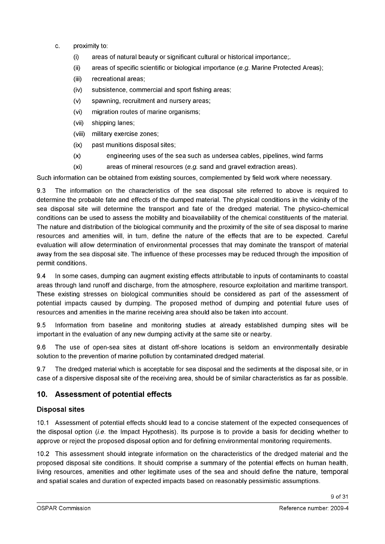- c. proximity to:
	- (i) areas of natural beauty or significant cultural or historical importance;.
	- (ii) areas of specific scientific or biological importance *(e.g.* Marine Protected Areas);
	- (iii) recreational areas;
	- (iv) subsistence, commercial and sport fishing areas;
	- (v) spawning, recruitment and nursery areas;
	- (vi) migration routes of marine organisms;
	- (vii) shipping lanes;
	- (viii) military exercise zones;
	- (ix) past munitions disposal sites;
	- (x) engineering uses of the sea such as undersea cables, pipelines, wind farms
	- (xi) areas of mineral resources *(e.g.* sand and gravel extraction areas).

Such information can be obtained from existing sources, complemented by field work where necessary.

9.3 The information on the characteristics of the sea disposal site referred to above is required to determine the probable fate and effects of the dumped material. The physical conditions in the vicinity of the sea disposal site will determine the transport and fate of the dredged material. The physico-chemical conditions can be used to assess the mobility and bioavailability of the chemical constituents of the material. The nature and distribution of the biological community and the proximity of the site of sea disposal to marine resources and amenities will, in turn, define the nature of the effects that are to be expected. Careful evaluation will allow determination of environmental processes that may dominate the transport of material away from the sea disposal site. The influence of these processes may be reduced through the imposition of permit conditions.

9.4 In some cases, dumping can augment existing effects attributable to inputs of contaminants to coastal areas through land runoff and discharge, from the atmosphere, resource exploitation and maritime transport. These existing stresses on biological communities should be considered as part of the assessment of potential impacts caused by dumping. The proposed method of dumping and potential future uses of resources and amenities in the marine receiving area should also be taken into account.

9.5 Information from baseline and monitoring studies at already established dumping sites will be important in the evaluation of any new dumping activity at the same site or nearby.

9.6 The use of open-sea sites at distant off-shore locations is seldom an environmentally desirable solution to the prevention of marine pollution by contaminated dredged material.

9.7 The dredged material which is acceptable for sea disposal and the sediments at the disposal site, or in case of a dispersive disposal site of the receiving area, should be of similar characteristics as far as possible.

## **10. Assessment of potential effects**

#### **Disposal sites**

10.1 Assessment of potential effects should lead to a concise statement of the expected consequences of the disposal option *(i.e.* the Impact Hypothesis). Its purpose is to provide a basis for deciding whether to approve or reject the proposed disposal option and for defining environmental monitoring requirements.

10.2 This assessment should integrate information on the characteristics of the dredged material and the proposed disposal site conditions. It should comprise a summary of the potential effects on human health, living resources, amenities and other legitimate uses of the sea and should define the nature, temporal and spatial scales and duration of expected impacts based on reasonably pessimistic assumptions.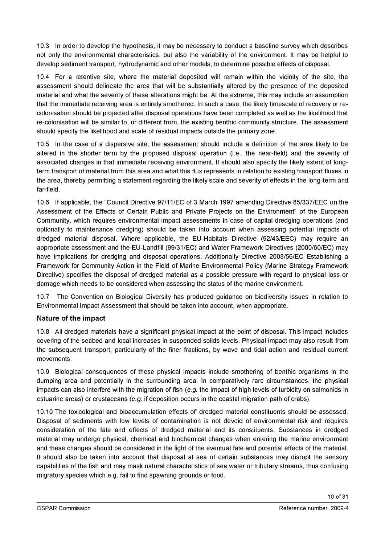10.3 In order to develop the hypothesis, it may be necessary to conduct a baseline survey which describes not only the environmental characteristics, but also the variability of the environment. It may be helpful to develop sediment transport, hydrodynamic and other models, to determine possible effects of disposal.

10.4 For a retentive site, where the material deposited will remain within the vicinity of the site, the assessment should delineate the area that will be substantially altered by the presence of the deposited material and what the severity of these alterations might be. At the extreme, this may include an assumption that the immediate receiving area is entirely smothered. In such a case, the likely timescale of recovery or recolonisation should be projected after disposal operations have been completed as well as the likelihood that re-colonisation will be similar to, or different from, the existing benthic community structure. The assessment should specify the likelihood and scale of residual impacts outside the primary zone.

10.5 In the case of a dispersive site, the assessment should include a definition of the area likely to be altered in the shorter term by the proposed disposal operation (i.e., the near-field) and the severity of associated changes in that immediate receiving environment. It should also specify the likely extent of longterm transport of material from this area and what this flux represents in relation to existing transport fluxes in the area, thereby permitting a statement regarding the likely scale and severity of effects in the long-term and far-field.

10.6 If applicable, the "Council Directive 97/11 /EC of 3 March 1997 amending Directive 85/337/EEC on the Assessment of the Effects of Certain Public and Private Projects on the Environment" of the European Community, which requires environmental impact assessments in case of capital dredging operations (and optionally to maintenance dredging) should be taken into account when assessing potential impacts of dredged material disposal. Where applicable, the EU-Habitats Directive (92/43/EEC) may require an appropriate assessment and the EU-Landfill (99/31/EC) and Water Framework Directives (2000/60/EC) may have implications for dredging and disposal operations. Additionally Directive 2008/56/EC Establishing a Framework for Community Action in the Field of Marine Environmental Policy (Marine Strategy Framework Directive) specifies the disposal of dredged material as a possible pressure with regard to physical loss or damage which needs to be considered when assessing the status of the marine environment.

10.7 The Convention on Biological Diversity has produced guidance on biodiversity issues in relation to Environmental Impact Assessment that should be taken into account, when appropriate.

## **Nature of the impact**

10.8 All dredged materials have a significant physical impact at the point of disposal. This impact includes covering of the seabed and local increases in suspended solids levels. Physical impact may also result from the subsequent transport, particularly of the finer fractions, by wave and tidal action and residual current movements.

10.9 Biological consequences of these physical impacts include smothering of benthic organisms in the dumping area and potentially in the surrounding area. In comparatively rare circumstances, the physical impacts can also interfere with the migration offish *(e.g.* the impact of high levels of turbidity on salmonids in estuarine areas) or crustaceans *(e.g.* if deposition occurs in the coastal migration path of crabs).

10.10 The toxicological and bioaccumulation effects of dredged material constituents should be assessed. Disposal of sediments with low levels of contamination is not devoid of environmental risk and requires consideration of the fate and effects of dredged material and its constituents. Substances in dredged material may undergo physical, chemical and biochemical changes when entering the marine environment and these changes should be considered in the light of the eventual fate and potential effects of the material. It should also be taken into account that disposal at sea of certain substances may disrupt the sensory capabilities of the fish and may mask natural characteristics of sea water or tributary streams, thus confusing migratory species which e.g. fail to find spawning grounds or food.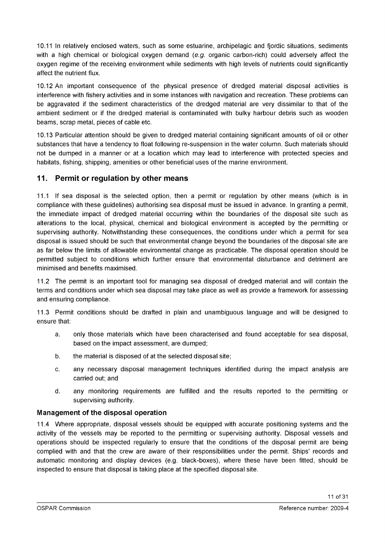10.11 In relatively enclosed waters, such as some estuarine, archipelagic and fjordic situations, sediments with a high chemical or biological oxygen demand *(e.g.* organic carbon-rich) could adversely affect the oxygen regime of the receiving environment while sediments with high levels of nutrients could significantly affect the nutrient flux.

10.12 An important consequence of the physical presence of dredged material disposal activities is interference with fishery activities and in some instances with navigation and recreation. These problems can be aggravated if the sediment characteristics of the dredged material are very dissimilar to that of the ambient sediment or if the dredged material is contaminated with bulky harbour debris such as wooden beams, scrap metal, pieces of cable etc.

10.13 Particular attention should be given to dredged material containing significant amounts of oil or other substances that have a tendency to float following re-suspension in the water column. Such materials should not be dumped in a manner or at a location which may lead to interference with protected species and habitats, fishing, shipping, amenities or other beneficial uses of the marine environment.

## **11. Permit or regulation by other means**

11.1 If sea disposal is the selected option, then a permit or regulation by other means (which is in compliance with these guidelines) authorising sea disposal must be issued in advance. In granting a permit, the immediate impact of dredged material occurring within the boundaries of the disposal site such as alterations to the local, physical, chemical and biological environment is accepted by the permitting or supervising authority. Notwithstanding these consequences, the conditions under which a permit for sea disposal is issued should be such that environmental change beyond the boundaries of the disposal site are as far below the limits of allowable environmental change as practicable. The disposal operation should be permitted subject to conditions which further ensure that environmental disturbance and detriment are minimised and benefits maximised.

11.2 The permit is an important tool for managing sea disposal of dredged material and will contain the terms and conditions under which sea disposal may take place as well as provide a framework for assessing and ensuring compliance.

11.3 Permit conditions should be drafted in plain and unambiguous language and will be designed to ensure that:

- a. only those materials which have been characterised and found acceptable for sea disposal, based on the impact assessment, are dumped;
- b. the material is disposed of at the selected disposal site;
- c. any necessary disposal management techniques identified during the impact analysis are carried out; and
- d. any monitoring requirements are fulfilled and the results reported to the permitting or supervising authority.

#### **Management of the disposal operation**

11.4 Where appropriate, disposal vessels should be equipped with accurate positioning systems and the activity of the vessels may be reported to the permitting or supervising authority. Disposal vessels and operations should be inspected regularly to ensure that the conditions of the disposal permit are being complied with and that the crew are aware of their responsibilities under the permit. Ships' records and automatic monitoring and display devices (e.g. black-boxes), where these have been fitted, should be inspected to ensure that disposal is taking place at the specified disposal site.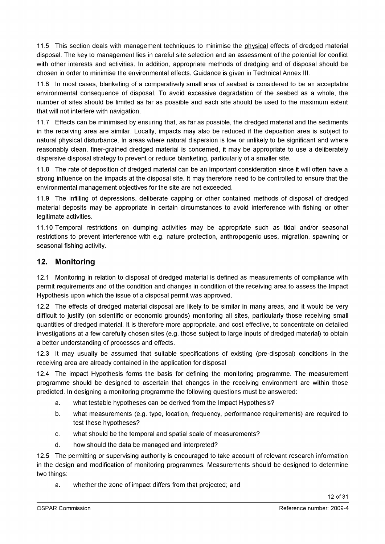11.5 This section deals with management techniques to minimise the physical effects of dredged material disposal. The key to management lies in careful site selection and an assessment of the potential for conflict with other interests and activities. In addition, appropriate methods of dredging and of disposal should be chosen in order to minimise the environmental effects. Guidance is given in Technical Annex III.

11.6 In most cases, blanketing of a comparatively small area of seabed is considered to be an acceptable environmental consequence of disposal. To avoid excessive degradation of the seabed as a whole, the number of sites should be limited as far as possible and each site should be used to the maximum extent that will not interfere with navigation.

11.7 Effects can be minimised by ensuring that, as far as possible, the dredged material and the sediments in the receiving area are similar. Locally, impacts may also be reduced if the deposition area is subject to natural physical disturbance. In areas where natural dispersion is low or unlikely to be significant and where reasonably clean, finer-grained dredged material is concerned, it may be appropriate to use a deliberately dispersive disposal strategy to prevent or reduce blanketing, particularly of a smaller site.

11.8 The rate of deposition of dredged material can be an important consideration since it will often have a strong influence on the impacts at the disposal site. It may therefore need to be controlled to ensure that the environmental management objectives for the site are not exceeded.

11.9 The infilling of depressions, deliberate capping or other contained methods of disposal of dredged material deposits may be appropriate in certain circumstances to avoid interference with fishing or other legitimate activities.

11.10 Temporal restrictions on dumping activities may be appropriate such as tidal and/or seasonal restrictions to prevent interference with e.g. nature protection, anthropogenic uses, migration, spawning or seasonal fishing activity.

## **12. Monitoring**

12.1 Monitoring in relation to disposal of dredged material is defined as measurements of compliance with permit requirements and of the condition and changes in condition of the receiving area to assess the Impact Hypothesis upon which the issue of a disposal permit was approved.

12.2 The effects of dredged material disposal are likely to be similar in many areas, and it would be very difficult to justify (on scientific or economic grounds) monitoring all sites, particularly those receiving small quantities of dredged material. It is therefore more appropriate, and cost effective, to concentrate on detailed investigations at a few carefully chosen sites (e.g. those subject to large inputs of dredged material) to obtain a better understanding of processes and effects.

12.3 It may usually be assumed that suitable specifications of existing (pre-disposal) conditions in the receiving area are already contained in the application for disposal

12.4 The impact Hypothesis forms the basis for defining the monitoring programme. The measurement programme should be designed to ascertain that changes in the receiving environment are within those predicted. In designing a monitoring programme the following questions must be answered:

- a. what testable hypotheses can be derived from the Impact Hypothesis?
- b. what measurements (e.g. type, location, frequency, performance requirements) are required to test these hypotheses?
- c. what should be the temporal and spatial scale of measurements?
- d. how should the data be managed and interpreted?

12.5 The permitting or supervising authority is encouraged to take account of relevant research information in the design and modification of monitoring programmes. Measurements should be designed to determine two things:

a. whether the zone of impact differs from that projected; and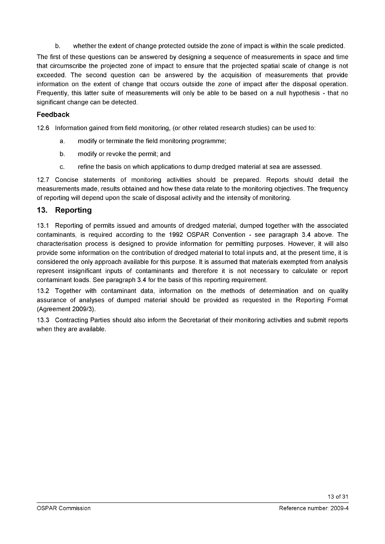b. whether the extent of change protected outside the zone of impact is within the scale predicted.

The first of these questions can be answered by designing a sequence of measurements in space and time that circumscribe the projected zone of impact to ensure that the projected spatial scale of change is not exceeded. The second question can be answered by the acquisition of measurements that provide information on the extent of change that occurs outside the zone of impact after the disposal operation. Frequently, this latter suite of measurements will only be able to be based on a null hypothesis - that no significant change can be detected.

#### **Feedback**

12.6 Information gained from field monitoring, (or other related research studies) can be used to:

- a. modify or terminate the field monitoring programme;
- b. modify or revoke the permit; and
- c. refine the basis on which applications to dump dredged material at sea are assessed.

12.7 Concise statements of monitoring activities should be prepared. Reports should detail the measurements made, results obtained and how these data relate to the monitoring objectives. The frequency of reporting will depend upon the scale of disposal activity and the intensity of monitoring.

## **13. Reporting**

13.1 Reporting of permits issued and amounts of dredged material, dumped together with the associated contaminants, is required according to the 1992 OSPAR Convention - see paragraph 3.4 above. The characterisation process is designed to provide information for permitting purposes. However, it will also provide some information on the contribution of dredged material to total inputs and, at the present time, it is considered the only approach available for this purpose. It is assumed that materials exempted from analysis represent insignificant inputs of contaminants and therefore it is not necessary to calculate or report contaminant loads. See paragraph 3.4 for the basis of this reporting requirement.

13.2 Together with contaminant data, information on the methods of determination and on quality assurance of analyses of dumped material should be provided as requested in the Reporting Format (Agreement 2009/3).

13.3 Contracting Parties should also inform the Secretariat of their monitoring activities and submit reports when they are available.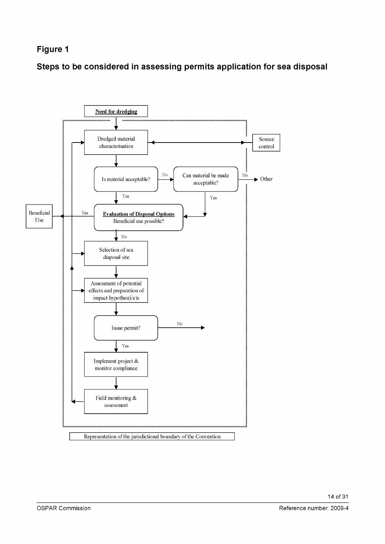## **Figure 1**

**Steps to be considered in assessing permits application for sea disposal**

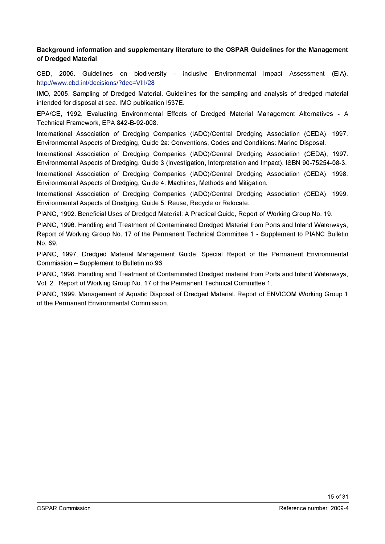#### **Background information and supplementary literature to the OSPAR Guidelines for the Management of Dredged Material**

CBD, 2006. Guidelines on biodiversity - inclusive Environmental Impact Assessment (EIA). <http://www.cbd.int/decisions/?dec=VIII/28>

IMO, 2005. Sampling of Dredged Material. Guidelines for the sampling and analysis of dredged material intended for disposal at sea. IMO publication I537E.

EPA/CE, 1992. Evaluating Environmental Effects of Dredged Material Management Alternatives - A Technical Framework, EPA 842-B-92-008.

International Association of Dredging Companies (IADC)/Central Dredging Association (CEDA), 1997. Environmental Aspects of Dredging, Guide 2a: Conventions, Codes and Conditions: Marine Disposal.

International Association of Dredging Companies (IADC)/Central Dredging Association (CEDA), 1997. Environmental Aspects of Dredging. Guide 3 (Investigation, Interpretation and Impact). ISBN 90-75254-08-3.

International Association of Dredging Companies (IADC)/Central Dredging Association (CEDA), 1998. Environmental Aspects of Dredging, Guide 4: Machines, Methods and Mitigation.

International Association of Dredging Companies (IADC)/Central Dredging Association (CEDA), 1999. Environmental Aspects of Dredging, Guide 5: Reuse, Recycle or Relocate.

PIANC, 1992. Beneficial Uses of Dredged Material: A Practical Guide, Report of Working Group No. 19.

PIANC, 1996. Handling and Treatment of Contaminated Dredged Material from Ports and Inland Waterways, Report of Working Group No. 17 of the Permanent Technical Committee 1 - Supplement to PIANC Bulletin No. 89.

PIANC, 1997. Dredged Material Management Guide. Special Report of the Permanent Environmental Commission - Supplement to Bulletin no.96.

PIANC, 1998. Handling and Treatment of Contaminated Dredged material from Ports and Inland Waterways, Vol. 2., Report of Working Group No. 17 of the Permanent Technical Committee 1.

PIANC, 1999. Management of Aquatic Disposal of Dredged Material. Report of ENVICOM Working Group 1 of the Permanent Environmental Commission.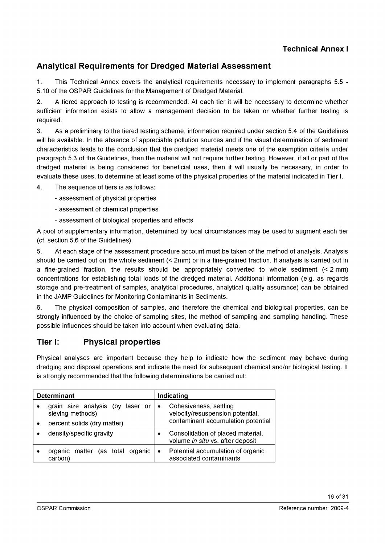## **Analytical Requirements for Dredged Material Assessment**

1. This Technical Annex covers the analytical requirements necessary to implement paragraphs 5.5 - 5.10 of the OSPAR Guidelines for the Management of Dredged Material.

2. A tiered approach to testing is recommended. At each tier it will be necessary to determine whether sufficient information exists to allow a management decision to be taken or whether further testing is required.

3. As a preliminary to the tiered testing scheme, information required under section 5.4 of the Guidelines will be available. In the absence of appreciable pollution sources and if the visual determination of sediment characteristics leads to the conclusion that the dredged material meets one of the exemption criteria under paragraph 5.3 of the Guidelines, then the material will not require further testing. However, if all or part of the dredged material is being considered for beneficial uses, then it will usually be necessary, in order to evaluate these uses, to determine at least some of the physical properties of the material indicated in Tier I.

4. The sequence of tiers is as follows:

- assessment of physical properties
- assessment of chemical properties
- assessment of biological properties and effects

A pool of supplementary information, determined by local circumstances may be used to augment each tier (cf. section 5.6 of the Guidelines).

5. At each stage of the assessment procedure account must be taken of the method of analysis. Analysis should be carried out on the whole sediment (< 2mm) or in a fine-grained fraction. If analysis is carried out in a fine-grained fraction, the results should be appropriately converted to whole sediment (< 2 mm) concentrations for establishing total loads of the dredged material. Additional information (e.g. as regards storage and pre-treatment of samples, analytical procedures, analytical quality assurance) can be obtained in the JAMP Guidelines for Monitoring Contaminants in Sediments.

6. The physical composition of samples, and therefore the chemical and biological properties, can be strongly influenced by the choice of sampling sites, the method of sampling and sampling handling. These possible influences should be taken into account when evaluating data.

## **Tier I: Physical properties**

Physical analyses are important because they help to indicate how the sediment may behave during dredging and disposal operations and indicate the need for subsequent chemical and/or biological testing. It is strongly recommended that the following determinations be carried out:

| <b>Determinant</b> |                                                      | Indicating                                                                |  |
|--------------------|------------------------------------------------------|---------------------------------------------------------------------------|--|
|                    | grain size analysis (by laser or<br>sieving methods) | Cohesiveness, settling<br>$\bullet$<br>velocity/resuspension potential,   |  |
|                    | percent solids (dry matter)                          | contaminant accumulation potential                                        |  |
|                    | density/specific gravity                             | Consolidation of placed material,<br>volume in situ vs. after deposit     |  |
|                    | organic matter (as total organic<br>carbon)          | Potential accumulation of organic<br>$\bullet$<br>associated contaminants |  |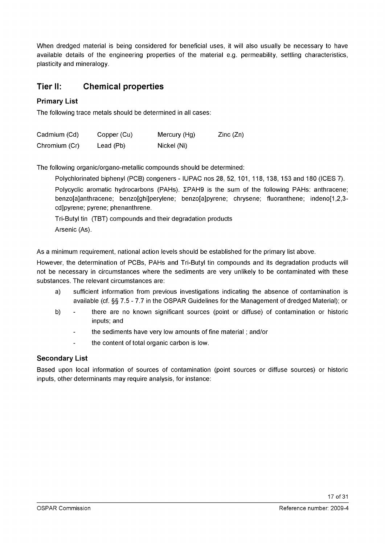When dredged material is being considered for beneficial uses, it will also usually be necessary to have available details of the engineering properties of the material e.g. permeability, settling characteristics, plasticity and mineralogy.

## **Tier II: Chemical properties**

## **Primary List**

The following trace metals should be determined in all cases:

| Cadmium (Cd)  | Copper (Cu) | Mercury (Hg) | $\mathsf{Zinc}\left(\mathsf{Zn}\right)$ |
|---------------|-------------|--------------|-----------------------------------------|
| Chromium (Cr) | Lead (Pb)   | Nickel (Ni)  |                                         |

The following organic/organo-metallic compounds should be determined:

Polychlorinated biphenyl (PCB) congeners - IUPAC nos 28, 52, 101, 118, 138, 153 and 180 (ICES 7).

Polycyclic aromatic hydrocarbons (PAHs). ZPAH9 is the sum of the following PAHs: anthracene; benzo[a]anthracene; benzo[ghi]perylene; benzo[a]pyrene; chrysene; fluoranthene; indeno[1,2,3 cdjpyrene; pyrene; phenanthrene.

Tri-Butyl tin (TBT) compounds and their degradation products Arsenic (As).

As a minimum requirement, national action levels should be established for the primary list above.

However, the determination of PCBs, PAHs and Tri-Butyl tin compounds and its degradation products will not be necessary in circumstances where the sediments are very unlikely to be contaminated with these substances. The relevant circumstances are:

- a) sufficient information from previous investigations indicating the absence of contamination is available (cf. §§ 7.5 - 7.7 in the OSPAR Guidelines for the Management of dredged Material); or
- b) there are no known significant sources (point or diffuse) of contamination or historic inputs; and
	- the sediments have very low amounts of fine material ; and/or
	- the content of total organic carbon is low.

#### **Secondary List**

Based upon local information of sources of contamination (point sources or diffuse sources) or historic inputs, other determinants may require analysis, for instance: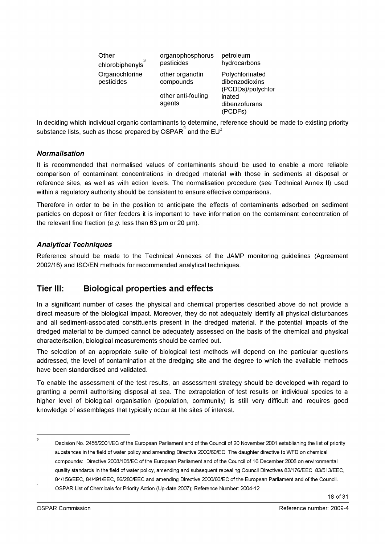| Other<br>chlorobiphenyls     | organophosphorus<br>pesticides | petroleum<br>hydrocarbons                              |
|------------------------------|--------------------------------|--------------------------------------------------------|
| Organochlorine<br>pesticides | other organotin<br>compounds   | Polychlorinated<br>dibenzodioxins<br>(PCDDs)/polychlor |
|                              | other anti-fouling<br>agents   | inated<br>dibenzofurans<br>(PCDFs)                     |

In deciding which individual organic contaminants to determine, reference should be made to existing priority substance lists, such as those prepared by OSPAR $\overline{^4}$  and the EU $^3$ 

## *Normalisation*

It is recommended that normalised values of contaminants should be used to enable a more reliable comparison of contaminant concentrations in dredged material with those in sediments at disposal or reference sites, as well as with action levels. The normalisation procedure (see Technical Annex II) used within a regulatory authority should be consistent to ensure effective comparisons.

Therefore in order to be in the position to anticipate the effects of contaminants adsorbed on sediment particles on deposit or filter feeders it is important to have information on the contaminant concentration of the relevant fine fraction  $(e.g.$  less than 63  $\mu$ m or 20  $\mu$ m).

## *Analytical Techniques*

Reference should be made to the Technical Annexes of the JAMP monitoring guidelines (Agreement 2002/16) and ISO/EN methods for recommended analytical techniques.

## **Tier III: Biological properties and effects**

In a significant number of cases the physical and chemical properties described above do not provide a direct measure of the biological impact. Moreover, they do not adequately identify all physical disturbances and all sediment-associated constituents present in the dredged material. If the potential impacts of the dredged material to be dumped cannot be adequately assessed on the basis of the chemical and physical characterisation, biological measurements should be carried out.

The selection of an appropriate suite of biological test methods will depend on the particular questions addressed, the level of contamination at the dredging site and the degree to which the available methods have been standardised and validated.

To enable the assessment of the test results, an assessment strategy should be developed with regard to granting a permit authorising disposal at sea. The extrapolation of test results on individual species to a higher level of biological organisation (population, community) is still very difficult and requires good knowledge of assemblages that typically occur at the sites of interest.

 $\overline{3}$ Decision No. 2455/2001/EC of the European Parliament and of the Council of 20 November 2001 establishing the list of priority substances in the field of water policy and amending Directive 2000/60/EC The daughter directive to WFD on chemical compounds: Directive 2008/105/EC of the European Parliament and of the Council of 16 December 2008 on environmental quality standards in the field of water policy, amending and subsequent repealing Council Directives 82/176/EEC, 83/513/EEC, 84/156/EEC, 84/491/EEC, 86/280/EEC and amending Directive 2000/60/EC of the European Parliament and of the Council.

 $\overline{4}$ OSPAR List of Chemicals for Priority Action (Up-date 2007); Reference Number: 2004-12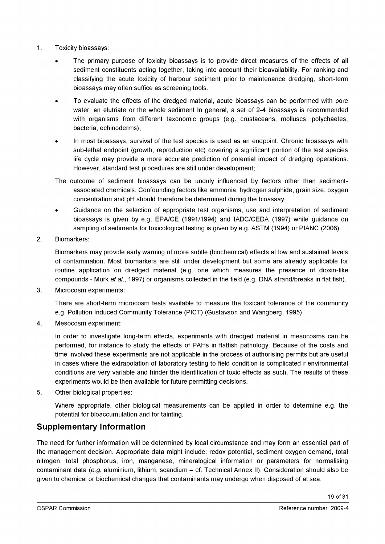- 1. Toxicity bioassays:
	- The primary purpose of toxicity bioassays is to provide direct measures of the effects of all sediment constituents acting together, taking into account their bioavailability. For ranking and classifying the acute toxicity of harbour sediment prior to maintenance dredging, short-term bioassays may often suffice as screening tools.
	- To evaluate the effects of the dredged material, acute bioassays can be performed with pore water, an elutriate or the whole sediment In general, a set of 2-4 bioassays is recommended with organisms from different taxonomic groups (e.g. crustaceans, molluscs, polychaetes, bacteria, echinoderms);
	- In most bioassays, survival of the test species is used as an endpoint. Chronic bioassays with sub-lethal endpoint (growth, reproduction etc) covering a significant portion of the test species life cycle may provide a more accurate prediction of potential impact of dredging operations. However, standard test procedures are still under development;
	- The outcome of sediment bioassays can be unduly influenced by factors other than sedimentassociated chemicals. Confounding factors like ammonia, hydrogen sulphide, grain size, oxygen concentration and pH should therefore be determined during the bioassay.
	- Guidance on the selection of appropriate test organisms, use and interpretation of sediment bioassays is given by e.g. EPA/CE (1991/1994) and IADC/CEDA (1997) while guidance on sampling of sediments for toxicological testing is given by e.g. ASTM (1994) or PIANC (2006).
- 2. Biomarkers:

Biomarkers may provide early warning of more subtle (biochemical) effects at low and sustained levels of contamination. Most biomarkers are still under development but some are already applicable for routine application on dredged material (e.g. one which measures the presence of dioxin-like compounds - Murk *et al.*, 1997) or organisms collected in the field (e.g. DNA strand/breaks in flat fish).

3. Microcosm experiments:

There are short-term microcosm tests available to measure the toxicant tolerance of the community e.g. Pollution Induced Community Tolerance (PICT) (Gustavson and Wangberg, 1995)

4. Mesocosm experiment:

In order to investigate long-term effects, experiments with dredged material in mesocosms can be performed, for instance to study the effects of PAHs in flatfish pathology. Because of the costs and time involved these experiments are not applicable in the process of authorising permits but are useful in cases where the extrapolation of laboratory testing to field condition is complicated r environmental conditions are very variable and hinder the identification of toxic effects as such. The results of these experiments would be then available for future permitting decisions.

5. Other biological properties:

Where appropriate, other biological measurements can be applied in order to determine e.g. the potential for bioaccumulation and for tainting.

## **Supplementary information**

The need for further information will be determined by local circumstance and may form an essential part of the management decision. Appropriate data might include: redox potential, sediment oxygen demand, total nitrogen, total phosphorus, iron, manganese, mineralogical information or parameters for normalising contaminant data *(e.g.* aluminium, lithium, scandium - cf. Technical Annex II). Consideration should also be given to chemical or biochemical changes that contaminants may undergo when disposed of at sea.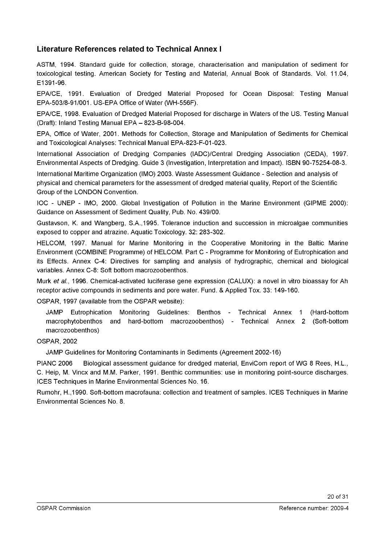## **Literature References related to Technical Annex I**

ASTM, 1994. Standard guide for collection, storage, characterisation and manipulation of sediment for toxicological testing. American Society for Testing and Material, Annual Book of Standards. Vol. 11.04, E1391-96.

EPA/CE, 1991. Evaluation of Dredged Material Proposed for Ocean Disposal: Testing Manual EPA-503/8-91/001. US-EPA Office of Water (WH-556F).

EPA/CE, 1998. Evaluation of Dredged Material Proposed for discharge in Waters of the US. Testing Manual (Draft): Inland Testing Manual EPA - 823-B-98-004.

EPA, Office of Water, 2001. Methods for Collection, Storage and Manipulation of Sediments for Chemical and Toxicological Analyses: Technical Manual EPA-823-F-01-023.

International Association of Dredging Companies (IADC)/Central Dredging Association (CEDA), 1997. Environmental Aspects of Dredging. Guide 3 (Investigation, Interpretation and Impact). ISBN 90-75254-08-3.

International Maritime Organization (IMO) 2003. Waste Assessment Guidance - Selection and analysis of physical and chemical parameters for the assessment of dredged material quality, Report of the Scientific Group of the LONDON Convention.

IOC - UNEP - IMO, 2000. Global Investigation of Pollution in the Marine Environment (GIPME 2000): Guidance on Assessment of Sediment Quality, Pub. No. 439/00.

Gustavson, K. and Wangberg, S.A.,1995. Tolerance induction and succession in microalgae communities exposed to copper and atrazine. Aquatic Toxicology. 32: 283-302.

HELCOM, 1997. Manual for Marine Monitoring in the Cooperative Monitoring in the Baltic Marine Environment (COMBINE Programme) of HELCOM. Part C - Programme for Monitoring of Eutrophication and its Effects. Annex C-4: Directives for sampling and analysis of hydrographic, chemical and biological variables. Annex C-8: Soft bottom macrozoobenthos.

Murk *eta!.,* 1996. Chemical-activated luciferase gene expression (CALUX): a novel in vitro bioassay for Ah receptor active compounds in sediments and pore water. Fund. & Applied Tox. 33: 149-160.

OSPAR, 1997 (available from the OSPAR website):

JAMP Eutrophication Monitoring Guidelines: Benthos - Technical Annex 1 (Hard-bottom macrophytobenthos and hard-bottom macrozoobenthos) - Technical Annex 2 (Soft-bottom macrozoobenthos)

#### OSPAR, 2002

JAMP Guidelines for Monitoring Contaminants in Sediments (Agreement 2002-16)

PIANC 2006 Biological assessment guidance for dredged material, EnviCom report of WG 8 Rees, H.L., C. Heip, M. Vincx and M.M. Parker, 1991. Benthic communities: use in monitoring point-source discharges. ICES Techniques in Marine Environmental Sciences No. 16.

Rumohr, H.,1990. Soft-bottom macrofauna: collection and treatment of samples. ICES Techniques in Marine Environmental Sciences No. 8.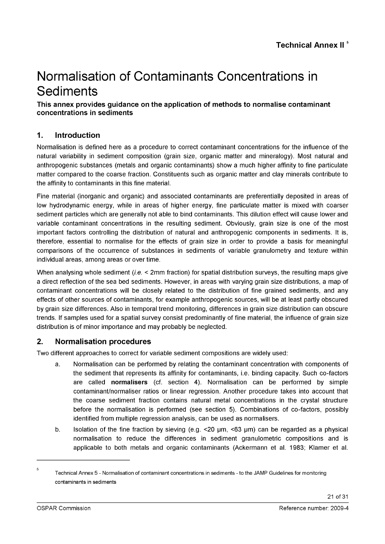# Normalisation of Contaminants Concentrations in **Sediments**

## **This annex provides guidance on the application of methods to normalise contaminant concentrations in sediments**

## **1. Introduction**

Normalisation is defined here as a procedure to correct contaminant concentrations for the influence of the natural variability in sediment composition (grain size, organic matter and mineralogy). Most natural and anthropogenic substances (metals and organic contaminants) show a much higher affinity to fine particulate matter compared to the coarse fraction. Constituents such as organic matter and clay minerals contribute to the affinity to contaminants in this fine material.

Fine material (inorganic and organic) and associated contaminants are preferentially deposited in areas of low hydrodynamic energy, while in areas of higher energy, fine particulate matter is mixed with coarser sediment particles which are generally not able to bind contaminants. This dilution effect will cause lower and variable contaminant concentrations in the resulting sediment. Obviously, grain size is one of the most important factors controlling the distribution of natural and anthropogenic components in sediments. It is, therefore, essential to normalise for the effects of grain size in order to provide a basis for meaningful comparisons of the occurrence of substances in sediments of variable granulometry and texture within individual areas, among areas or over time.

When analysing whole sediment *(i.e. <* 2mm fraction) for spatial distribution surveys, the resulting maps give a direct reflection of the sea bed sediments. However, in areas with varying grain size distributions, a map of contaminant concentrations will be closely related to the distribution of fine grained sediments, and any effects of other sources of contaminants, for example anthropogenic sources, will be at least partly obscured by grain size differences. Also in temporal trend monitoring, differences in grain size distribution can obscure trends. If samples used for a spatial survey consist predominantly of fine material, the influence of grain size distribution is of minor importance and may probably be neglected.

## **2. Normalisation procedures**

Two different approaches to correct for variable sediment compositions are widely used:

- a. Normalisation can be performed by relating the contaminant concentration with components of the sediment that represents its affinity for contaminants, i.e. binding capacity. Such co-factors are called **normalisers** (cf. section **4).** Normalisation can be performed by simple contaminant/normaliser ratios or linear regression. Another procedure takes into account that the coarse sediment fraction contains natural metal concentrations in the crystal structure before the normalisation is performed (see section 5). Combinations of co-factors, possibly identified from multiple regression analysis, can be used as normalisers.
- b. Isolation of the fine fraction by sieving (e.g.  $\leq$  20  $\mu$ m,  $\leq$  63  $\mu$ m) can be regarded as a physical normalisation to reduce the differences in sediment granulometric compositions and is applicable to both metals and organic contaminants (Ackermann et al. 1983; Klamer et al.

 $\overline{\phantom{a}}$ Technical Annex 5 - Normalisation of contaminant concentrations in sediments - to the JAMP Guidelines for monitoring contaminants in sediments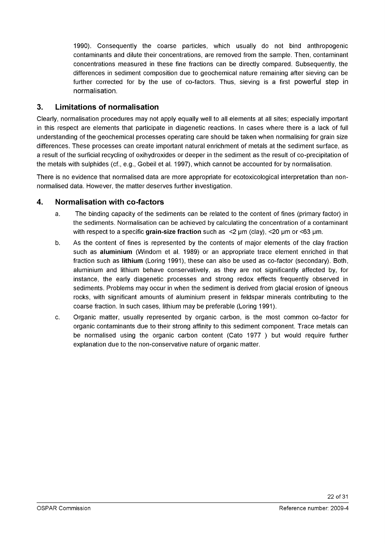1990). Consequently the coarse particles, which usually do not bind anthropogenic contaminants and dilute their concentrations, are removed from the sample. Then, contaminant concentrations measured in these fine fractions can be directly compared. Subsequently, the differences in sediment composition due to geochemical nature remaining after sieving can be further corrected for by the use of co-factors. Thus, sieving is a first powerful step in normalisation.

## **3. Limitations of normalisation**

Clearly, normalisation procedures may not apply equally well to all elements at all sites; especially important in this respect are elements that participate in diagenetic reactions. In cases where there is a lack of full understanding of the geochemical processes operating care should be taken when normalising for grain size differences. These processes can create important natural enrichment of metals at the sediment surface, as a result of the surficial recycling of oxihydroxides or deeper in the sediment as the result of co-precipitation of the metals with sulphides (cf., e.g., Gobeil et al. 1997), which cannot be accounted for by normalisation.

There is no evidence that normalised data are more appropriate for ecotoxicological interpretation than nonnormalised data. However, the matter deserves further investigation.

## **4. Normalisation with co-factors**

- a. The binding capacity of the sediments can be related to the content of fines (primary factor) in the sediments. Normalisation can be achieved by calculating the concentration of a contaminant with respect to a specific **grain-size fraction** such as  $\leq$   $2 \mu$ m (clay),  $\leq$  20  $\mu$ m or  $\leq$  63  $\mu$ m.
- b. As the content of fines is represented by the contents of major elements of the clay fraction such as **aluminium** (Windom et al. 1989) or an appropriate trace element enriched in that fraction such as **lithium** (Loring 1991), these can also be used as co-factor (secondary). Both, aluminium and lithium behave conservatively, as they are not significantly affected by, for instance, the early diagenetic processes and strong redox effects frequently observed in sediments. Problems may occur in when the sediment is derived from glacial erosion of igneous rocks, with significant amounts of aluminium present in feldspar minerals contributing to the coarse fraction. In such cases, lithium may be preferable (Loring 1991).
- c. Organic matter, usually represented by organic carbon, is the most common co-factor for organic contaminants due to their strong affinity to this sediment component. Trace metals can be normalised using the organic carbon content (Cato 1977 ) but would require further explanation due to the non-conservative nature of organic matter.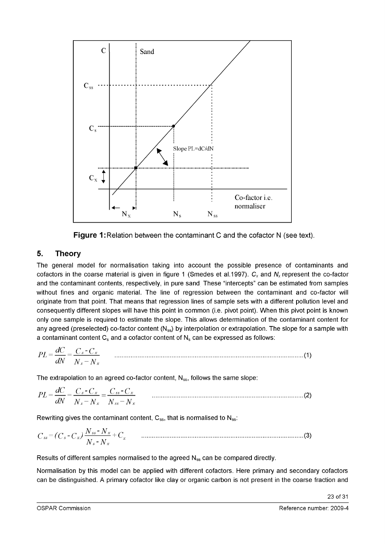

**Figure 1: Relation between the contaminant C and the cofactor N (see text).** 

## **5. Theory**

The general model for normalisation taking into account the possible presence of contaminants and cofactors in the coarse material is given in figure 1 (Smedes et al.1997).  $C_x$  and  $N_x$  represent the co-factor and the contaminant contents, respectively, in pure sand These "intercepts" can be estimated from samples without fines and organic material. The line of regression between the contaminant and co-factor will originate from that point. That means that regression lines of sample sets with a different pollution level and consequently different slopes will have this point in common (i.e. pivot point). When this pivot point is known only one sample is required to estimate the slope. This allows determination of the contaminant content for any agreed (preselected) co-factor content  $(N_{ss})$  by interpolation or extrapolation. The slope for a sample with a contaminant content  $C_s$  and a cofactor content of  $N_s$  can be expressed as follows:

$$
PL = \frac{dC}{dN} = \frac{C_s - C_x}{N_s - N_x}
$$
 (1)

The extrapolation to an agreed co-factor content,  $N_{ss}$ , follows the same slope:

$$
PL = \frac{dC}{dN} = \frac{C_s - C_x}{N_s - N_x} = \frac{C_{ss} - C_x}{N_{ss} - N_x}
$$
 (2)

Rewriting gives the contaminant content,  $C_{ss}$ , that is normalised to  $N_{ss}$ .

*C SS = ( C S- C X) Nss' N x + C x* ....................................................................................................(3) *N s-Nx*

Results of different samples normalised to the agreed  $N_{ss}$  can be compared directly.

Normalisation by this model can be applied with different cofactors. Here primary and secondary cofactors can be distinguished. A primary cofactor like clay or organic carbon is not present in the coarse fraction and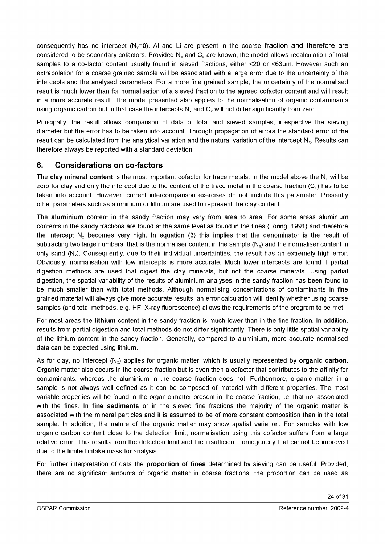consequently has no intercept ( $N_x=0$ ). AI and Li are present in the coarse fraction and therefore are considered to be secondary cofactors. Provided  $N_x$  and  $C_x$  are known, the model allows recalculation of total samples to a co-factor content usually found in sieved fractions, either <20 or <63µm. However such an extrapolation for a coarse grained sample will be associated with a large error due to the uncertainty of the intercepts and the analysed parameters. For a more fine grained sample, the uncertainty of the normalised result is much lower than for normalisation of a sieved fraction to the agreed cofactor content and will result in a more accurate result. The model presented also applies to the normalisation of organic contaminants using organic carbon but in that case the intercepts  $N_x$  and  $C_x$  will not differ significantly from zero.

Principally, the result allows comparison of data of total and sieved samples, irrespective the sieving diameter but the error has to be taken into account. Through propagation of errors the standard error of the result can be calculated from the analytical variation and the natural variation of the intercept N<sub>x</sub>. Results can therefore always be reported with a standard deviation.

## **6. Considerations on co-factors**

The **clay mineral content** is the most important cofactor for trace metals. In the model above the  $N_x$  will be zero for clay and only the intercept due to the content of the trace metal in the coarse fraction  $(C_x)$  has to be taken into account. However, current intercomparison exercises do not include this parameter. Presently other parameters such as aluminium or lithium are used to represent the clay content.

The **aluminium** content in the sandy fraction may vary from area to area. For some areas aluminium contents in the sandy fractions are found at the same level as found in the fines (Loring, 1991) and therefore the intercept  $N_x$  becomes very high. In equation (3) this implies that the denominator is the result of subtracting two large numbers, that is the normaliser content in the sample  $(N_s)$  and the normaliser content in only sand  $(N_x)$ . Consequently, due to their individual uncertainties, the result has an extremely high error. Obviously, normalisation with low intercepts is more accurate. Much lower intercepts are found if partial digestion methods are used that digest the clay minerals, but not the coarse minerals. Using partial digestion, the spatial variability of the results of aluminium analyses in the sandy fraction has been found to be much smaller than with total methods. Although normalising concentrations of contaminants in fine grained material will always give more accurate results, an error calculation will identify whether using coarse samples (and total methods, e.g. HF, X-ray fluorescence) allows the requirements of the program to be met.

For most areas the **lithium** content in the sandy fraction is much lower than in the fine fraction. In addition, results from partial digestion and total methods do not differ significantly. There is only little spatial variability of the lithium content in the sandy fraction. Generally, compared to aluminium, more accurate normalised data can be expected using lithium.

As for clay, no intercept  $(N_x)$  applies for organic matter, which is usually represented by **organic carbon**. Organic matter also occurs in the coarse fraction but is even then a cofactor that contributes to the affinity for contaminants, whereas the aluminium in the coarse fraction does not. Furthermore, organic matter in a sample is not always well defined as it can be composed of material with different properties. The most variable properties will be found in the organic matter present in the coarse fraction, i.e. that not associated with the fines. In **fine sediments** or in the sieved fine fractions the majority of the organic matter is associated with the mineral particles and it is assumed to be of more constant composition than in the total sample. In addition, the nature of the organic matter may show spatial variation. For samples with low organic carbon content close to the detection limit, normalisation using this cofactor suffers from a large relative error. This results from the detection limit and the insufficient homogeneity that cannot be improved due to the limited intake mass for analysis.

For further interpretation of data the **proportion of fines** determined by sieving can be useful. Provided, there are no significant amounts of organic matter in coarse fractions, the proportion can be used as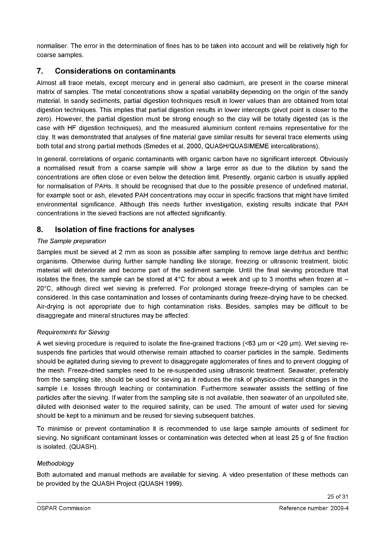normaliser. The error in the determination of fines has to be taken into account and will be relatively high for coarse samples.

## **7. Considerations on contaminants**

Almost all trace metals, except mercury and in general also cadmium, are present in the coarse mineral matrix of samples. The metal concentrations show a spatial variability depending on the origin of the sandy material. In sandy sediments, partial digestion techniques result in lower values than are obtained from total digestion techniques. This implies that partial digestion results in lower intercepts (pivot point is closer to the zero). However, the partial digestion must be strong enough so the clay will be totally digested (as is the case with HF digestion techniques), and the measured aluminium content remains representative for the clay. It was demonstrated that analyses of fine material gave similar results for several trace elements using both total and strong partial methods (Smedes et al. 2000, QUASH/QUASIMEME intercalibrations).

In general, correlations of organic contaminants with organic carbon have no significant intercept. Obviously a normalised result from a coarse sample will show a large error as due to the dilution by sand the concentrations are often close or even below the detection limit. Presently, organic carbon is usually applied for normalisation of PAHs. It should be recognised that due to the possible presence of undefined material, for example soot or ash, elevated PAH concentrations may occur in specific fractions that might have limited environmental significance. Although this needs further investigation, existing results indicate that PAH concentrations in the sieved fractions are not affected significantly.

## **8. Isolation of fine fractions for analyses**

#### *The Sample preparation*

Samples must be sieved at 2 mm as soon as possible after sampling to remove large detritus and benthic organisms. Otherwise during further sample handling like storage, freezing or ultrasonic treatment, biotic material will deteriorate and become part of the sediment sample. Until the final sieving procedure that isolates the fines, the sample can be stored at  $4^{\circ}$ C for about a week and up to 3 months when frozen at  $-$ 20°C, although direct wet sieving is preferred. For prolonged storage freeze-drying of samples can be considered. In this case contamination and losses of contaminants during freeze-drying have to be checked. Air-drying is not appropriate due to high contamination risks. Besides, samples may be difficult to be disaggregate and mineral structures may be affected.

#### *Requirements for Sieving*

A wet sieving procedure is required to isolate the fine-grained fractions (<63 µm or <20 µm). Wet sieving resuspends fine particles that would otherwise remain attached to coarser particles in the sample. Sediments should be agitated during sieving to prevent to disaggregate agglomerates of fines and to prevent clogging of the mesh. Freeze-dried samples need to be re-suspended using ultrasonic treatment. Seawater, preferably from the sampling site, should be used for sieving as it reduces the risk of physico-chemical changes in the sample i.e. losses through leaching or contamination. Furthermore seawater assists the settling of fine particles after the sieving. If water from the sampling site is not available, then seawater of an unpolluted site, diluted with deionised water to the required salinity, can be used. The amount of water used for sieving should be kept to a minimum and be reused for sieving subsequent batches.

To minimise or prevent contamination it is recommended to use large sample amounts of sediment for sieving. No significant contaminant losses or contamination was detected when at least 25 g of fine fraction is isolated. (QUASH).

#### *Methodology*

Both automated and manual methods are available for sieving. A video presentation of these methods can be provided by the QUASH Project (QUASH 1999).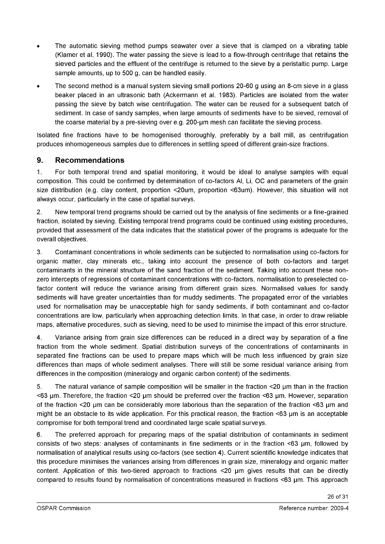- The automatic sieving method pumps seawater over a sieve that is clamped on a vibrating table (Klamer et al. 1990). The water passing the sieve is lead to a flow-through centrifuge that retains the sieved particles and the effluent of the centrifuge is returned to the sieve by a peristaltic pump. Large sample amounts, up to 500 g, can be handled easily.
- The second method is a manual system sieving small portions 20-60 g using an 8-cm sieve in a glass beaker placed in an ultrasonic bath (Ackermann et al. 1983). Particles are isolated from the water passing the sieve by batch wise centrifugation. The water can be reused for a subsequent batch of sediment. In case of sandy samples, when large amounts of sediments have to be sieved, removal of the coarse material by a pre-sieving over e.g. 200-um mesh can facilitate the sieving process.

Isolated fine fractions have to be homogenised thoroughly, preferably by a ball mill, as centrifugation produces inhomogeneous samples due to differences in settling speed of different grain-size fractions.

## **9. Recommendations**

1. For both temporal trend and spatial monitoring, it would be ideal to analyse samples with equal composition. This could be confirmed by determination of co-factors AI, Li, OC and parameters of the grain size distribution (e.g. clay content, proportion <20um, proportion <63um). However, this situation will not always occur, particularly in the case of spatial surveys.

2. New temporal trend programs should be carried out by the analysis of fine sediments or a fine-grained fraction, isolated by sieving. Existing temporal trend programs could be continued using existing procedures, provided that assessment of the data indicates that the statistical power of the programs is adequate for the overall objectives.

3. Contaminant concentrations in whole sediments can be subjected to normalisation using co-factors for organic matter, clay minerals etc., taking into account the presence of both co-factors and target contaminants in the mineral structure of the sand fraction of the sediment. Taking into account these nonzero intercepts of regressions of contaminant concentrations with co-factors, normalisation to preselected cofactor content will reduce the variance arising from different grain sizes. Normalised values for sandy sediments will have greater uncertainties than for muddy sediments. The propagated error of the variables used for normalisation may be unacceptable high for sandy sediments, if both contaminant and co-factor concentrations are low, particularly when approaching detection limits. In that case, in order to draw reliable maps, alternative procedures, such as sieving, need to be used to minimise the impact of this error structure.

4. Variance arising from grain size differences can be reduced in a direct way by separation of a fine fraction from the whole sediment. Spatial distribution surveys of the concentrations of contaminants in separated fine fractions can be used to prepare maps which will be much less influenced by grain size differences than maps of whole sediment analyses. There will still be some residual variance arising from differences in the composition (mineralogy and organic carbon content) of the sediments.

5. The natural variance of sample composition will be smaller in the fraction <20 um than in the fraction  $<$ 63 µm. Therefore, the fraction  $<$ 20 µm should be preferred over the fraction  $<$ 63 µm. However, separation of the fraction <20 pm can be considerably more laborious than the separation of the fraction <63 pm and might be an obstacle to its wide application. For this practical reason, the fraction <63 µm is an acceptable compromise for both temporal trend and coordinated large scale spatial surveys.

6. The preferred approach for preparing maps of the spatial distribution of contaminants in sediment consists of two steps: analyses of contaminants in fine sediments or in the fraction <63 µm, followed by normalisation of analytical results using co-factors (see section 4). Current scientific knowledge indicates that this procedure minimises the variances arising from differences in grain size, mineralogy and organic matter content. Application of this two-tiered approach to fractions <20 µm gives results that can be directly compared to results found by normalisation of concentrations measured in fractions <63 pm. This approach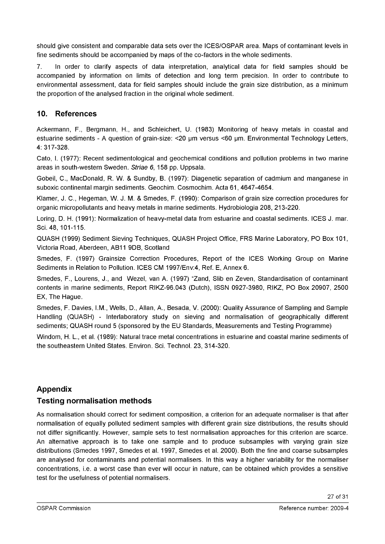should give consistent and comparable data sets over the ICES/OSPAR area. Maps of contaminant levels in fine sediments should be accompanied by maps of the co-factors in the whole sediments.

7. In order to clarify aspects of data interpretation, analytical data for field samples should be accompanied by information on limits of detection and long term precision. In order to contribute to environmental assessment, data for field samples should include the grain size distribution, as a minimum the proportion of the analysed fraction in the original whole sediment.

## **10. References**

Ackermann, F., Bergmann, H., and Schleicheri, U. (1983) Monitoring of heavy metals in coastal and estuarine sediments - A question of grain-size: <20 um versus <60 um. Environmental Technology Letters, 4: 317-328.

Cato, I. (1977): Recent sedimentological and geochemical conditions and pollution problems in two marine areas in south-western Sweden. *Striae 6,* 158 pp. Uppsala.

Gobeil, C., MacDonald, R. W. & Sundby, B. (1997): Diagenetic separation of cadmium and manganese in suboxic continental margin sediments. Geochim. Cosmochim. Acta 61, 4647-4654.

Klamer, J. C., Hegeman, W. J. M. & Smedes, F. (1990): Comparison of grain size correction procedures for organic micropollutants and heavy metals in marine sediments. Hydrobiologia 208, 213-220.

Loring, D. H. (1991): Normalization of heavy-metal data from estuarine and coastal sediments. ICES J. mar. Sei. 48, 101-115.

QUASH (1999) Sediment Sieving Techniques, QUASH Project Office, FRS Marine Laboratory, PO Box 101, Victoria Road, Aberdeen, AB11 9DB, Scotland

Smedes, F. (1997) Grainsize Correction Procedures, Report of the ICES Working Group on Marine Sediments in Relation to Pollution. ICES CM 1997/Env:4, Ref. E, Annex 6.

Smedes, F., Lourens, J., and Wezel, van A. (1997) "Zand, Slib en Zeven, Standardisation of contaminant contents in marine sediments, Report RIKZ-96.043 (Dutch), ISSN 0927-3980, RIKZ, PO Box 20907, 2500 EX, The Hague.

Smedes, F. Davies, I.M., Wells, D., Allan, A., Besada, V. (2000): Quality Assurance of Sampling and Sample Handling (QUASH) - Interlaboratory study on sieving and normalisation of geographically different sediments; QUASH round 5 (sponsored by the EU Standards, Measurements and Testing Programme)

Windom, H. L., et al. (1989): Natural trace metal concentrations in estuarine and coastal marine sediments of the southeastern United States. Environ. Sei. Technol. 23, 314-320.

## **Appendix**

## **Testing normalisation methods**

As normalisation should correct for sediment composition, a criterion for an adequate normaliser is that after normalisation of equally polluted sediment samples with different grain size distributions, the results should not differ significantly. However, sample sets to test normalisation approaches for this criterion are scarce. An alternative approach is to take one sample and to produce subsamples with varying grain size distributions (Smedes 1997, Smedes et al. 1997, Smedes et al. 2000). Both the fine and coarse subsamples are analysed for contaminants and potential normalisers. In this way a higher variability for the normaliser concentrations, i.e. a worst case than ever will occur in nature, can be obtained which provides a sensitive test for the usefulness of potential normalisers.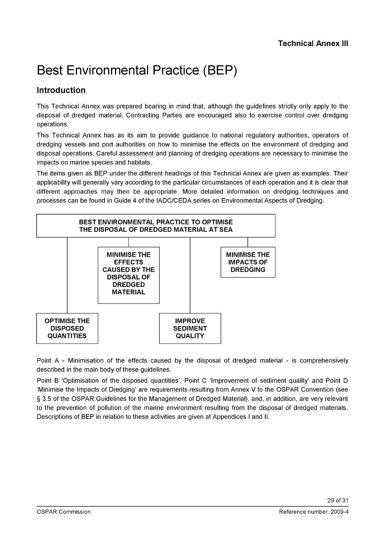# Best Environmental Practice (BEP)

## **Introduction**

This Technical Annex was prepared bearing in mind that, although the guidelines strictly only apply to the disposal of dredged material, Contracting Parties are encouraged also to exercise control over dredging operations.

This Technical Annex has as its aim to provide guidance to national regulatory authorities, operators of dredging vessels and port authorities on how to minimise the effects on the environment of dredging and disposal operations. Careful assessment and planning of dredging operations are necessary to minimise the impacts on marine species and habitats.

The items given as BEP under the different headings of this Technical Annex are given as examples. Their applicability will generally vary according to the particular circumstances of each operation and it is clear that different approaches may then be appropriate. More detailed information on dredging techniques and processes can be found in Guide 4 of the IADC/CEDA series on Environmental Aspects of Dredging.



Point A - Minimisation of the effects caused by the disposal of dredged material - is comprehensively described in the main body of these guidelines.

Point B 'Optimisation of the disposed quantities', Point C 'Improvement of sediment quality' and Point D 'Minimise the Impacts of Dredging' are requirements resulting from Annex V to the OSPAR Convention (see § 3.5 of the OSPAR Guidelines for the Management of Dredged Material), and, in addition, are very relevant to the prevention of pollution of the marine environment resulting from the disposal of dredged materials. Descriptions of BEP in relation to these activities are given at Appendices I and II.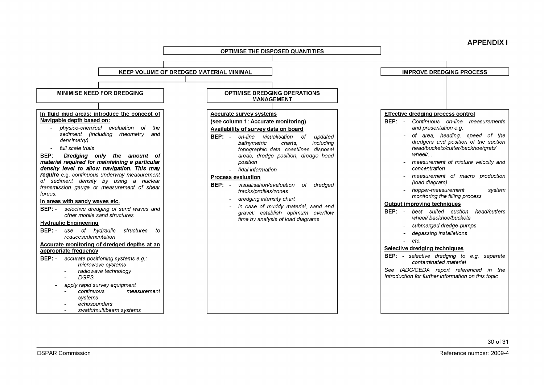**APPENDIX I**